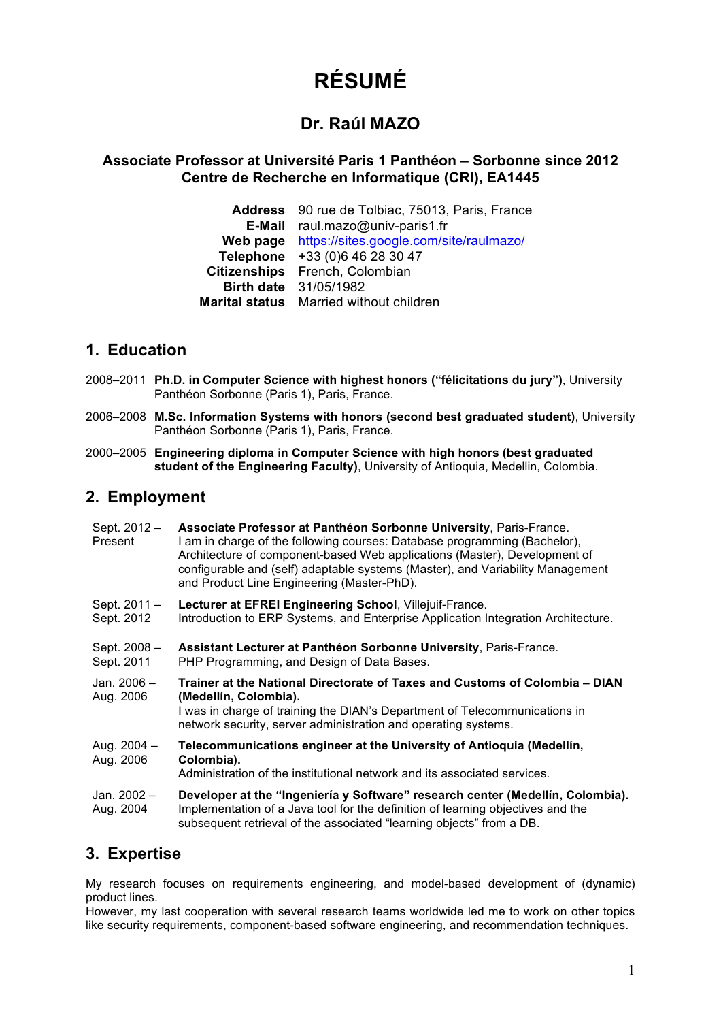# **RÉSUMÉ**

## **Dr. Raúl MAZO**

### **Associate Professor at Université Paris 1 Panthéon – Sorbonne since 2012 Centre de Recherche en Informatique (CRI), EA1445**

**Address** 90 rue de Tolbiac, 75013, Paris, France **E-Mail** raul.mazo@univ-paris1.fr **Web page** https://sites.google.com/site/raulmazo/ **Telephone** +33 (0)6 46 28 30 47 **Citizenships** French, Colombian **Birth date** 31/05/1982 **Marital status** Married without children

## **1. Education**

- 2008–2011 **Ph.D. in Computer Science with highest honors ("félicitations du jury")**, University Panthéon Sorbonne (Paris 1), Paris, France.
- 2006–2008 **M.Sc. Information Systems with honors (second best graduated student)**, University Panthéon Sorbonne (Paris 1), Paris, France.
- 2000–2005 **Engineering diploma in Computer Science with high honors (best graduated student of the Engineering Faculty)**, University of Antioquia, Medellin, Colombia.

## **2. Employment**

| Sept. 2012 -<br>Present      | Associate Professor at Panthéon Sorbonne University, Paris-France.<br>I am in charge of the following courses: Database programming (Bachelor),<br>Architecture of component-based Web applications (Master), Development of<br>configurable and (self) adaptable systems (Master), and Variability Management<br>and Product Line Engineering (Master-PhD). |
|------------------------------|--------------------------------------------------------------------------------------------------------------------------------------------------------------------------------------------------------------------------------------------------------------------------------------------------------------------------------------------------------------|
| Sept. $2011 -$<br>Sept. 2012 | Lecturer at EFREI Engineering School, Villejuif-France.<br>Introduction to ERP Systems, and Enterprise Application Integration Architecture.                                                                                                                                                                                                                 |
| Sept. 2008 -<br>Sept. 2011   | Assistant Lecturer at Panthéon Sorbonne University, Paris-France.<br>PHP Programming, and Design of Data Bases.                                                                                                                                                                                                                                              |
| Jan. $2006 -$<br>Aug. 2006   | Trainer at the National Directorate of Taxes and Customs of Colombia - DIAN<br>(Medellín, Colombia).<br>I was in charge of training the DIAN's Department of Telecommunications in<br>network security, server administration and operating systems.                                                                                                         |
| Aug. $2004 -$<br>Aug. 2006   | Telecommunications engineer at the University of Antioquia (Medellín,<br>Colombia).<br>Administration of the institutional network and its associated services.                                                                                                                                                                                              |
| Jan. 2002 -<br>Aug. 2004     | Developer at the "Ingeniería y Software" research center (Medellín, Colombia).<br>Implementation of a Java tool for the definition of learning objectives and the<br>subsequent retrieval of the associated "learning objects" from a DB.                                                                                                                    |

## **3. Expertise**

My research focuses on requirements engineering, and model-based development of (dynamic) product lines.

However, my last cooperation with several research teams worldwide led me to work on other topics like security requirements, component-based software engineering, and recommendation techniques.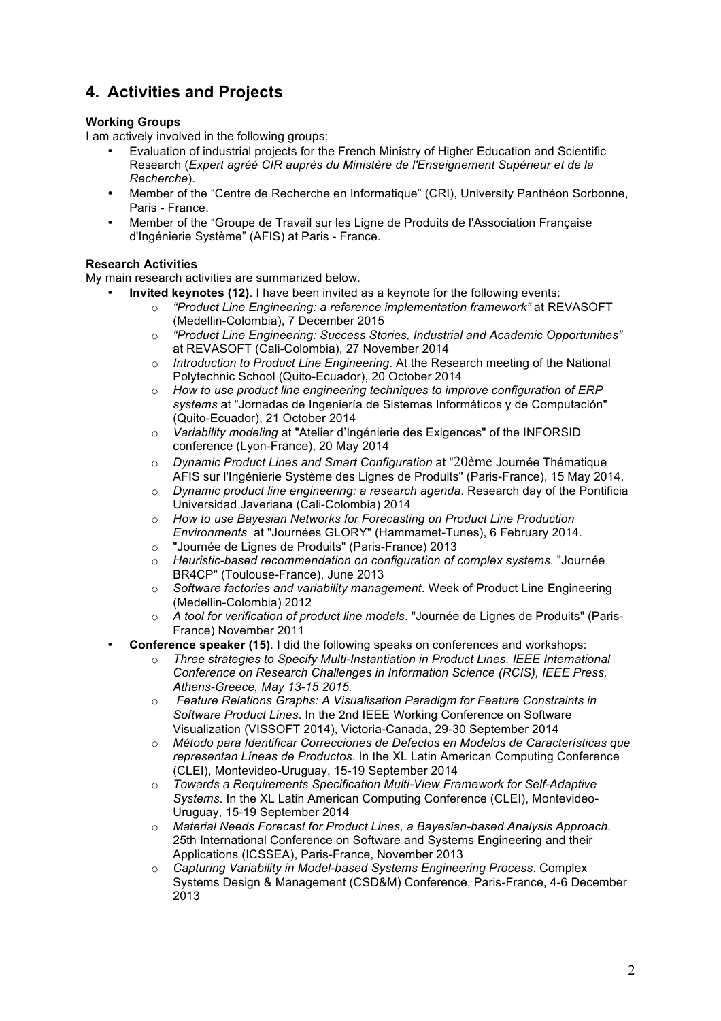# **4. Activities and Projects**

#### **Working Groups**

I am actively involved in the following groups:

- Evaluation of industrial projects for the French Ministry of Higher Education and Scientific Research (*Expert agréé CIR auprès du Ministère de l'Enseignement Supérieur et de la Recherche*).
- Member of the "Centre de Recherche en Informatique" (CRI), University Panthéon Sorbonne, Paris - France.
- Member of the "Groupe de Travail sur les Ligne de Produits de l'Association Française d'Ingénierie Système" (AFIS) at Paris - France.

#### **Research Activities**

My main research activities are summarized below.

- **Invited keynotes (12)**. I have been invited as a keynote for the following events:
	- o *"Product Line Engineering: a reference implementation framework"* at REVASOFT (Medellin-Colombia), 7 December 2015
		- o *"Product Line Engineering: Success Stories, Industrial and Academic Opportunities"* at REVASOFT (Cali-Colombia), 27 November 2014
		- o *Introduction to Product Line Engineering*. At the Research meeting of the National Polytechnic School (Quito-Ecuador), 20 October 2014
		- o *How to use product line engineering techniques to improve configuration of ERP systems* at "Jornadas de Ingeniería de Sistemas Informáticos y de Computación" (Quito-Ecuador), 21 October 2014
		- o *Variability modeling* at "Atelier d'Ingénierie des Exigences" of the INFORSID conference (Lyon-France), 20 May 2014
		- o *Dynamic Product Lines and Smart Configuration* at "20ème Journée Thématique AFIS sur l'Ingénierie Système des Lignes de Produits" (Paris-France), 15 May 2014.
		- o *Dynamic product line engineering: a research agenda*. Research day of the Pontificia Universidad Javeriana (Cali-Colombia) 2014
		- o *How to use Bayesian Networks for Forecasting on Product Line Production Environments* at "Journées GLORY" (Hammamet-Tunes), 6 February 2014.
		- o "Journée de Lignes de Produits" (Paris-France) 2013
		- o *Heuristic-based recommendation on configuration of complex systems*. "Journée BR4CP" (Toulouse-France), June 2013
		- o *Software factories and variability management*. Week of Product Line Engineering (Medellin-Colombia) 2012
		- o *A tool for verification of product line models*. "Journée de Lignes de Produits" (Paris-France) November 2011
- **Conference speaker (15)**. I did the following speaks on conferences and workshops:
	- o *Three strategies to Specify Multi-Instantiation in Product Lines. IEEE International Conference on Research Challenges in Information Science (RCIS), IEEE Press, Athens-Greece, May 13-15 2015.*
	- o *Feature Relations Graphs: A Visualisation Paradigm for Feature Constraints in Software Product Lines*. In the 2nd IEEE Working Conference on Software Visualization (VISSOFT 2014), Victoria-Canada, 29-30 September 2014
	- o *Método para Identificar Correcciones de Defectos en Modelos de Características que representan Líneas de Productos*. In the XL Latin American Computing Conference (CLEI), Montevideo-Uruguay, 15-19 September 2014
	- o *Towards a Requirements Specification Multi-View Framework for Self-Adaptive Systems*. In the XL Latin American Computing Conference (CLEI), Montevideo-Uruguay, 15-19 September 2014
	- o *Material Needs Forecast for Product Lines, a Bayesian-based Analysis Approach*. 25th International Conference on Software and Systems Engineering and their Applications (ICSSEA), Paris-France, November 2013
	- o *Capturing Variability in Model-based Systems Engineering Process*. Complex Systems Design & Management (CSD&M) Conference, Paris-France, 4-6 December 2013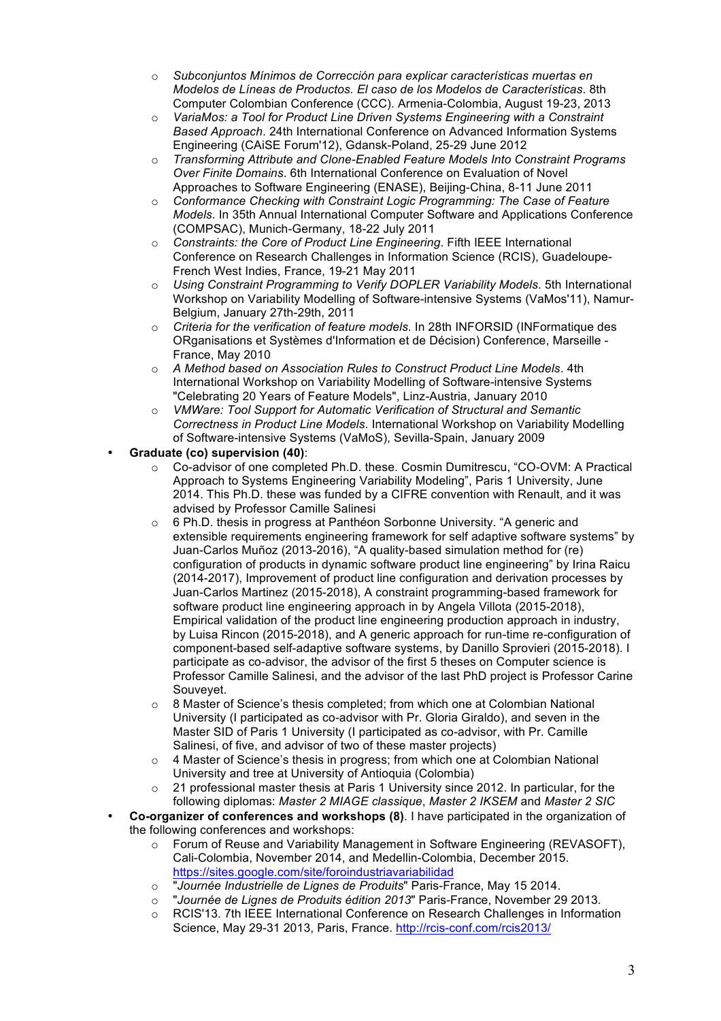- o *Subconjuntos Mínimos de Corrección para explicar características muertas en Modelos de Líneas de Productos. El caso de los Modelos de Características*. 8th Computer Colombian Conference (CCC). Armenia-Colombia, August 19-23, 2013
- o *VariaMos: a Tool for Product Line Driven Systems Engineering with a Constraint Based Approach*. 24th International Conference on Advanced Information Systems Engineering (CAiSE Forum'12), Gdansk-Poland, 25-29 June 2012
- o *Transforming Attribute and Clone-Enabled Feature Models Into Constraint Programs Over Finite Domains*. 6th International Conference on Evaluation of Novel Approaches to Software Engineering (ENASE), Beijing-China, 8-11 June 2011
- o *Conformance Checking with Constraint Logic Programming: The Case of Feature Models*. In 35th Annual International Computer Software and Applications Conference (COMPSAC), Munich-Germany, 18-22 July 2011
- o *Constraints: the Core of Product Line Engineering*. Fifth IEEE International Conference on Research Challenges in Information Science (RCIS), Guadeloupe-French West Indies, France, 19-21 May 2011
- o *Using Constraint Programming to Verify DOPLER Variability Models*. 5th International Workshop on Variability Modelling of Software-intensive Systems (VaMos'11), Namur-Belgium, January 27th-29th, 2011
- o *Criteria for the verification of feature models*. In 28th INFORSID (INFormatique des ORganisations et Systèmes d'Information et de Décision) Conference, Marseille - France, May 2010
- o *A Method based on Association Rules to Construct Product Line Models*. 4th International Workshop on Variability Modelling of Software-intensive Systems "Celebrating 20 Years of Feature Models", Linz-Austria, January 2010
- o *VMWare: Tool Support for Automatic Verification of Structural and Semantic Correctness in Product Line Models*. International Workshop on Variability Modelling of Software-intensive Systems (VaMoS), Sevilla-Spain, January 2009

#### • **Graduate (co) supervision (40)**:

- o Co-advisor of one completed Ph.D. these. Cosmin Dumitrescu, "CO-OVM: A Practical Approach to Systems Engineering Variability Modeling", Paris 1 University, June 2014. This Ph.D. these was funded by a CIFRE convention with Renault, and it was advised by Professor Camille Salinesi
- o 6 Ph.D. thesis in progress at Panthéon Sorbonne University. "A generic and extensible requirements engineering framework for self adaptive software systems" by Juan-Carlos Muñoz (2013-2016), "A quality-based simulation method for (re) configuration of products in dynamic software product line engineering" by Irina Raicu (2014-2017), Improvement of product line configuration and derivation processes by Juan-Carlos Martinez (2015-2018), A constraint programming-based framework for software product line engineering approach in by Angela Villota (2015-2018), Empirical validation of the product line engineering production approach in industry, by Luisa Rincon (2015-2018), and A generic approach for run-time re-configuration of component-based self-adaptive software systems, by Danillo Sprovieri (2015-2018). I participate as co-advisor, the advisor of the first 5 theses on Computer science is Professor Camille Salinesi, and the advisor of the last PhD project is Professor Carine Souveyet.
- $\circ$  8 Master of Science's thesis completed; from which one at Colombian National University (I participated as co-advisor with Pr. Gloria Giraldo), and seven in the Master SID of Paris 1 University (I participated as co-advisor, with Pr. Camille Salinesi, of five, and advisor of two of these master projects)
- o 4 Master of Science's thesis in progress; from which one at Colombian National University and tree at University of Antioquia (Colombia)
- $\circ$  21 professional master thesis at Paris 1 University since 2012. In particular, for the following diplomas: *Master 2 MIAGE classique*, *Master 2 IKSEM* and *Master 2 SIC*
- **Co-organizer of conferences and workshops (8)**. I have participated in the organization of the following conferences and workshops:
	- $\circ$  Forum of Reuse and Variability Management in Software Engineering (REVASOFT), Cali-Colombia, November 2014, and Medellin-Colombia, December 2015. https://sites.google.com/site/foroindustriavariabilidad
	- o "*Journée Industrielle de Lignes de Produits*" Paris-France, May 15 2014.
	- o "*Journée de Lignes de Produits édition 2013*" Paris-France, November 29 2013.
	- o RCIS'13. 7th IEEE International Conference on Research Challenges in Information Science, May 29-31 2013, Paris, France. http://rcis-conf.com/rcis2013/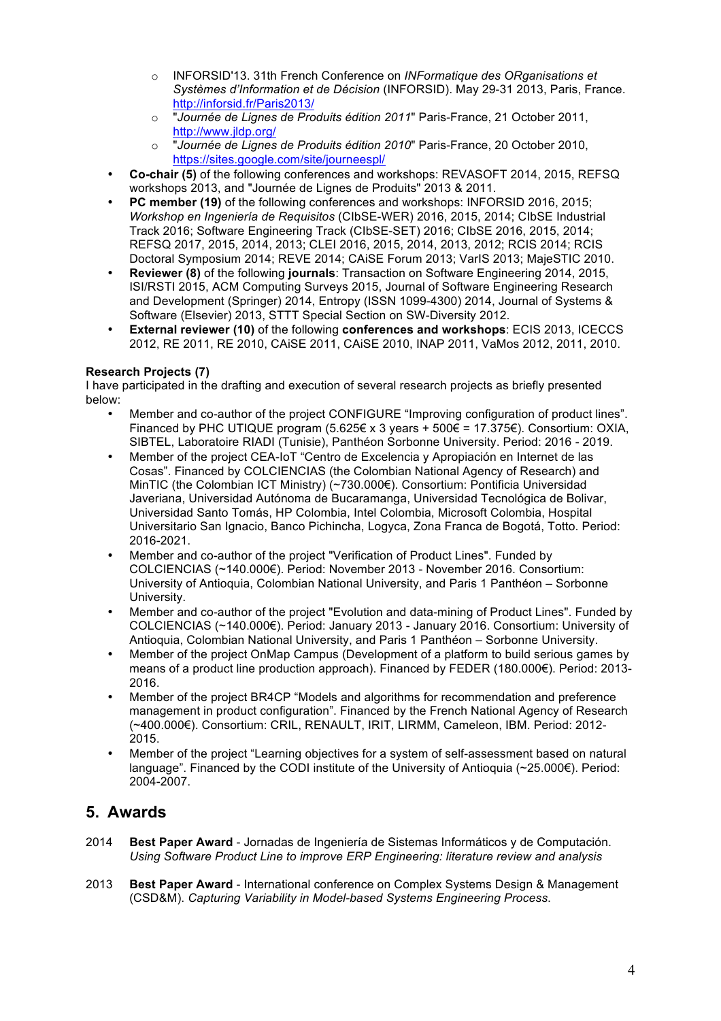- o INFORSID'13. 31th French Conference on *INFormatique des ORganisations et Systèmes d'Information et de Décision* (INFORSID). May 29-31 2013, Paris, France. http://inforsid.fr/Paris2013/
- o "*Journée de Lignes de Produits édition 2011*" Paris-France, 21 October 2011, http://www.jldp.org/
- o "*Journée de Lignes de Produits édition 2010*" Paris-France, 20 October 2010, https://sites.google.com/site/journeespl/
- **Co-chair (5)** of the following conferences and workshops: REVASOFT 2014, 2015, REFSQ workshops 2013, and "Journée de Lignes de Produits" 2013 & 2011.
- **PC member (19)** of the following conferences and workshops: INFORSID 2016, 2015; *Workshop en Ingeniería de Requisitos* (CIbSE-WER) 2016, 2015, 2014; CIbSE Industrial Track 2016; Software Engineering Track (CIbSE-SET) 2016; CIbSE 2016, 2015, 2014; REFSQ 2017, 2015, 2014, 2013; CLEI 2016, 2015, 2014, 2013, 2012; RCIS 2014; RCIS Doctoral Symposium 2014; REVE 2014; CAiSE Forum 2013; VarIS 2013; MajeSTIC 2010.
- **Reviewer (8)** of the following **journals**: Transaction on Software Engineering 2014, 2015, ISI/RSTI 2015, ACM Computing Surveys 2015, Journal of Software Engineering Research and Development (Springer) 2014, Entropy (ISSN 1099-4300) 2014, Journal of Systems & Software (Elsevier) 2013, STTT Special Section on SW-Diversity 2012.
- **External reviewer (10)** of the following **conferences and workshops**: ECIS 2013, ICECCS 2012, RE 2011, RE 2010, CAiSE 2011, CAiSE 2010, INAP 2011, VaMos 2012, 2011, 2010.

#### **Research Projects (7)**

I have participated in the drafting and execution of several research projects as briefly presented below:

- Member and co-author of the project CONFIGURE "Improving configuration of product lines". Financed by PHC UTIQUE program  $(5.625 \in x 3$  years +  $500 \in = 17.375 \in$ ). Consortium: OXIA, SIBTEL, Laboratoire RIADI (Tunisie), Panthéon Sorbonne University. Period: 2016 - 2019.
- Member of the project CEA-IoT "Centro de Excelencia y Apropiación en Internet de las Cosas". Financed by COLCIENCIAS (the Colombian National Agency of Research) and MinTIC (the Colombian ICT Ministry) (~730.000€). Consortium: Pontificia Universidad Javeriana, Universidad Autónoma de Bucaramanga, Universidad Tecnológica de Bolivar, Universidad Santo Tomás, HP Colombia, Intel Colombia, Microsoft Colombia, Hospital Universitario San Ignacio, Banco Pichincha, Logyca, Zona Franca de Bogotá, Totto. Period: 2016-2021.
- Member and co-author of the project "Verification of Product Lines". Funded by COLCIENCIAS (~140.000€). Period: November 2013 - November 2016. Consortium: University of Antioquia, Colombian National University, and Paris 1 Panthéon – Sorbonne University.
- Member and co-author of the project "Evolution and data-mining of Product Lines". Funded by COLCIENCIAS (~140.000€). Period: January 2013 - January 2016. Consortium: University of Antioquia, Colombian National University, and Paris 1 Panthéon – Sorbonne University.
- Member of the project OnMap Campus (Development of a platform to build serious games by means of a product line production approach). Financed by FEDER (180.000€). Period: 2013- 2016.
- Member of the project BR4CP "Models and algorithms for recommendation and preference management in product configuration". Financed by the French National Agency of Research (~400.000€). Consortium: CRIL, RENAULT, IRIT, LIRMM, Cameleon, IBM. Period: 2012- 2015.
- Member of the project "Learning objectives for a system of self-assessment based on natural language". Financed by the CODI institute of the University of Antioquia (~25.000€). Period: 2004-2007.

## **5. Awards**

- 2014 **Best Paper Award** Jornadas de Ingeniería de Sistemas Informáticos y de Computación. *Using Software Product Line to improve ERP Engineering: literature review and analysis*
- 2013 **Best Paper Award** International conference on Complex Systems Design & Management (CSD&M). *Capturing Variability in Model-based Systems Engineering Process*.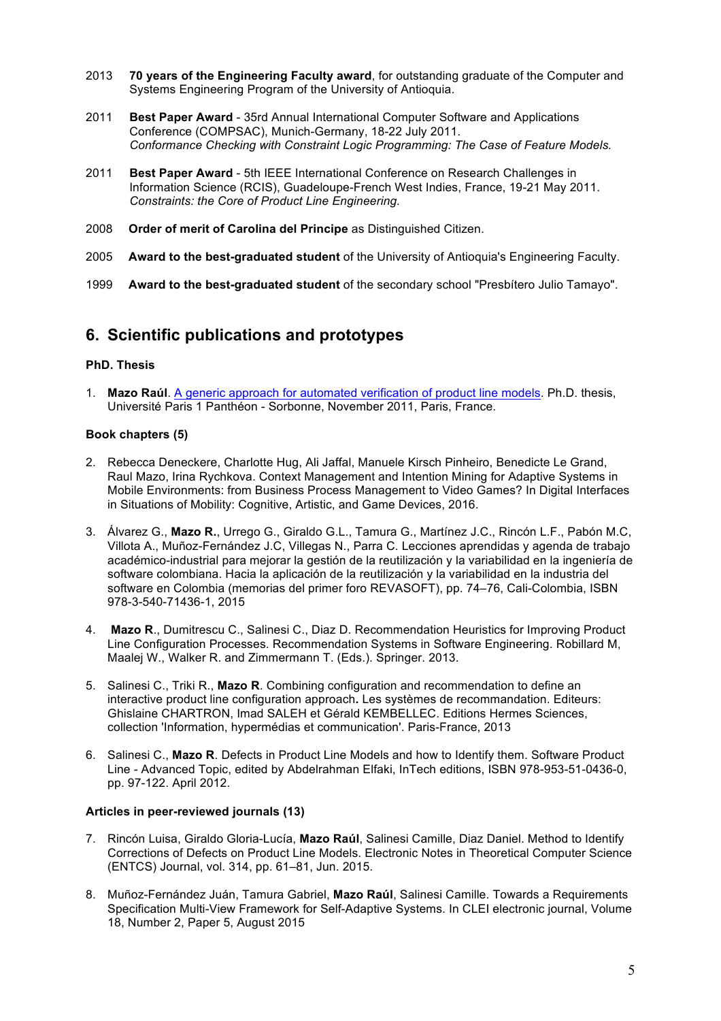- 2013 **70 years of the Engineering Faculty award**, for outstanding graduate of the Computer and Systems Engineering Program of the University of Antioquia.
- 2011 **Best Paper Award** 35rd Annual International Computer Software and Applications Conference (COMPSAC), Munich-Germany, 18-22 July 2011. *Conformance Checking with Constraint Logic Programming: The Case of Feature Models.*
- 2011 **Best Paper Award** 5th IEEE International Conference on Research Challenges in Information Science (RCIS), Guadeloupe-French West Indies, France, 19-21 May 2011. *Constraints: the Core of Product Line Engineering.*
- 2008 **Order of merit of Carolina del Principe** as Distinguished Citizen.
- 2005 **Award to the best-graduated student** of the University of Antioquia's Engineering Faculty.
- 1999 **Award to the best-graduated student** of the secondary school "Presbítero Julio Tamayo".

## **6. Scientific publications and prototypes**

#### **PhD. Thesis**

1. **Mazo Raúl**. A generic approach for automated verification of product line models. Ph.D. thesis, Université Paris 1 Panthéon - Sorbonne, November 2011, Paris, France.

#### **Book chapters (5)**

- 2. Rebecca Deneckere, Charlotte Hug, Ali Jaffal, Manuele Kirsch Pinheiro, Benedicte Le Grand, Raul Mazo, Irina Rychkova. Context Management and Intention Mining for Adaptive Systems in Mobile Environments: from Business Process Management to Video Games? In Digital Interfaces in Situations of Mobility: Cognitive, Artistic, and Game Devices, 2016.
- 3. Álvarez G., **Mazo R.**, Urrego G., Giraldo G.L., Tamura G., Martínez J.C., Rincón L.F., Pabón M.C, Villota A., Muñoz-Fernández J.C, Villegas N., Parra C. Lecciones aprendidas y agenda de trabajo académico-industrial para mejorar la gestión de la reutilización y la variabilidad en la ingeniería de software colombiana. Hacia la aplicación de la reutilización y la variabilidad en la industria del software en Colombia (memorias del primer foro REVASOFT), pp. 74–76, Cali-Colombia, ISBN 978-3-540-71436-1, 2015
- 4. **Mazo R**., Dumitrescu C., Salinesi C., Diaz D. Recommendation Heuristics for Improving Product Line Configuration Processes. Recommendation Systems in Software Engineering. Robillard M, Maalej W., Walker R. and Zimmermann T. (Eds.). Springer. 2013.
- 5. Salinesi C., Triki R., **Mazo R**. Combining configuration and recommendation to define an interactive product line configuration approach**.** Les systèmes de recommandation. Editeurs: Ghislaine CHARTRON, Imad SALEH et Gérald KEMBELLEC. Editions Hermes Sciences, collection 'Information, hypermédias et communication'. Paris-France, 2013
- 6. Salinesi C., **Mazo R**. Defects in Product Line Models and how to Identify them. Software Product Line - Advanced Topic, edited by Abdelrahman Elfaki, InTech editions, ISBN 978-953-51-0436-0, pp. 97-122. April 2012.

#### **Articles in peer-reviewed journals (13)**

- 7. Rincón Luisa, Giraldo Gloria-Lucía, **Mazo Raúl**, Salinesi Camille, Diaz Daniel. Method to Identify Corrections of Defects on Product Line Models. Electronic Notes in Theoretical Computer Science (ENTCS) Journal, vol. 314, pp. 61–81, Jun. 2015.
- 8. Muñoz-Fernández Juán, Tamura Gabriel, **Mazo Raúl**, Salinesi Camille. Towards a Requirements Specification Multi-View Framework for Self-Adaptive Systems. In CLEI electronic journal, Volume 18, Number 2, Paper 5, August 2015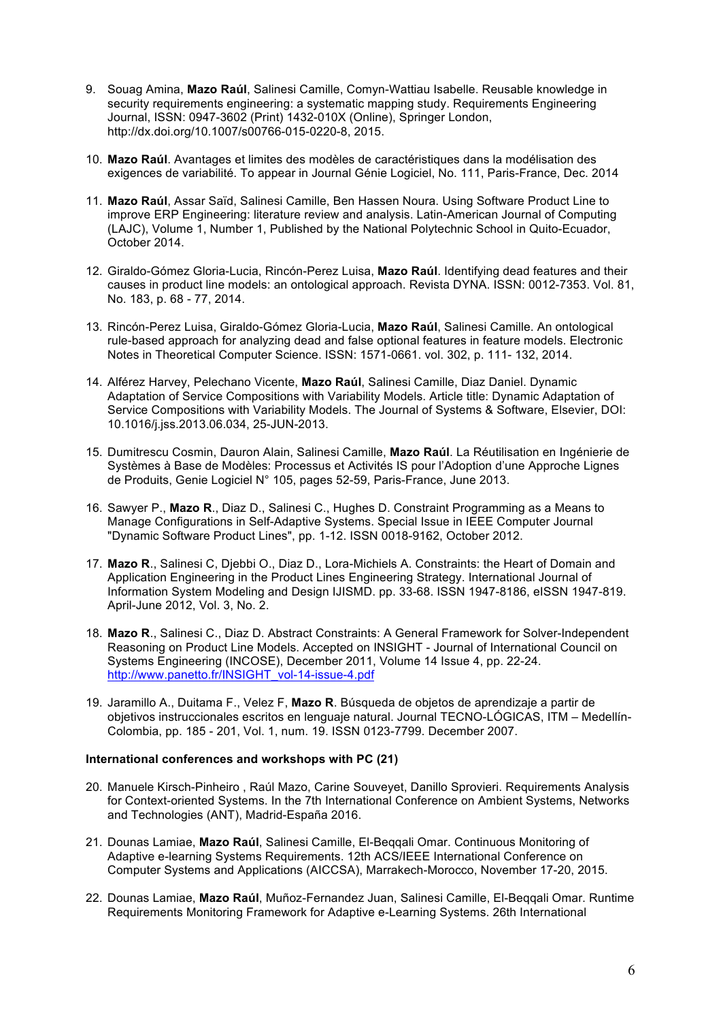- 9. Souag Amina, **Mazo Raúl**, Salinesi Camille, Comyn-Wattiau Isabelle. Reusable knowledge in security requirements engineering: a systematic mapping study. Requirements Engineering Journal, ISSN: 0947-3602 (Print) 1432-010X (Online), Springer London, http://dx.doi.org/10.1007/s00766-015-0220-8, 2015.
- 10. **Mazo Raúl**. Avantages et limites des modèles de caractéristiques dans la modélisation des exigences de variabilité. To appear in Journal Génie Logiciel, No. 111, Paris-France, Dec. 2014
- 11. **Mazo Raúl**, Assar Saïd, Salinesi Camille, Ben Hassen Noura. Using Software Product Line to improve ERP Engineering: literature review and analysis. Latin-American Journal of Computing (LAJC), Volume 1, Number 1, Published by the National Polytechnic School in Quito-Ecuador, October 2014.
- 12. Giraldo-Gómez Gloria-Lucia, Rincón-Perez Luisa, **Mazo Raúl**. Identifying dead features and their causes in product line models: an ontological approach. Revista DYNA. ISSN: 0012-7353. Vol. 81, No. 183, p. 68 - 77, 2014.
- 13. Rincón-Perez Luisa, Giraldo-Gómez Gloria-Lucia, **Mazo Raúl**, Salinesi Camille. An ontological rule-based approach for analyzing dead and false optional features in feature models. Electronic Notes in Theoretical Computer Science. ISSN: 1571-0661. vol. 302, p. 111- 132, 2014.
- 14. Alférez Harvey, Pelechano Vicente, **Mazo Raúl**, Salinesi Camille, Diaz Daniel. Dynamic Adaptation of Service Compositions with Variability Models. Article title: Dynamic Adaptation of Service Compositions with Variability Models. The Journal of Systems & Software, Elsevier, DOI: 10.1016/j.jss.2013.06.034, 25-JUN-2013.
- 15. Dumitrescu Cosmin, Dauron Alain, Salinesi Camille, **Mazo Raúl**. La Réutilisation en Ingénierie de Systèmes à Base de Modèles: Processus et Activités IS pour l'Adoption d'une Approche Lignes de Produits, Genie Logiciel N° 105, pages 52-59, Paris-France, June 2013.
- 16. Sawyer P., **Mazo R**., Diaz D., Salinesi C., Hughes D. Constraint Programming as a Means to Manage Configurations in Self-Adaptive Systems. Special Issue in IEEE Computer Journal "Dynamic Software Product Lines", pp. 1-12. ISSN 0018-9162, October 2012.
- 17. **Mazo R**., Salinesi C, Djebbi O., Diaz D., Lora-Michiels A. Constraints: the Heart of Domain and Application Engineering in the Product Lines Engineering Strategy. International Journal of Information System Modeling and Design IJISMD. pp. 33-68. ISSN 1947-8186, eISSN 1947-819. April-June 2012, Vol. 3, No. 2.
- 18. **Mazo R**., Salinesi C., Diaz D. Abstract Constraints: A General Framework for Solver-Independent Reasoning on Product Line Models. Accepted on INSIGHT - Journal of International Council on Systems Engineering (INCOSE), December 2011, Volume 14 Issue 4, pp. 22-24. http://www.panetto.fr/INSIGHT\_vol-14-issue-4.pdf
- 19. Jaramillo A., Duitama F., Velez F, **Mazo R**. Búsqueda de objetos de aprendizaje a partir de objetivos instruccionales escritos en lenguaje natural. Journal TECNO-LÓGICAS, ITM – Medellín-Colombia, pp. 185 - 201, Vol. 1, num. 19. ISSN 0123-7799. December 2007.

#### **International conferences and workshops with PC (21)**

- 20. Manuele Kirsch-Pinheiro , Raúl Mazo, Carine Souveyet, Danillo Sprovieri. Requirements Analysis for Context-oriented Systems. In the 7th International Conference on Ambient Systems, Networks and Technologies (ANT), Madrid-España 2016.
- 21. Dounas Lamiae, **Mazo Raúl**, Salinesi Camille, El-Beqqali Omar. Continuous Monitoring of Adaptive e-learning Systems Requirements. 12th ACS/IEEE International Conference on Computer Systems and Applications (AICCSA), Marrakech-Morocco, November 17-20, 2015.
- 22. Dounas Lamiae, **Mazo Raúl**, Muñoz-Fernandez Juan, Salinesi Camille, El-Beqqali Omar. Runtime Requirements Monitoring Framework for Adaptive e-Learning Systems. 26th International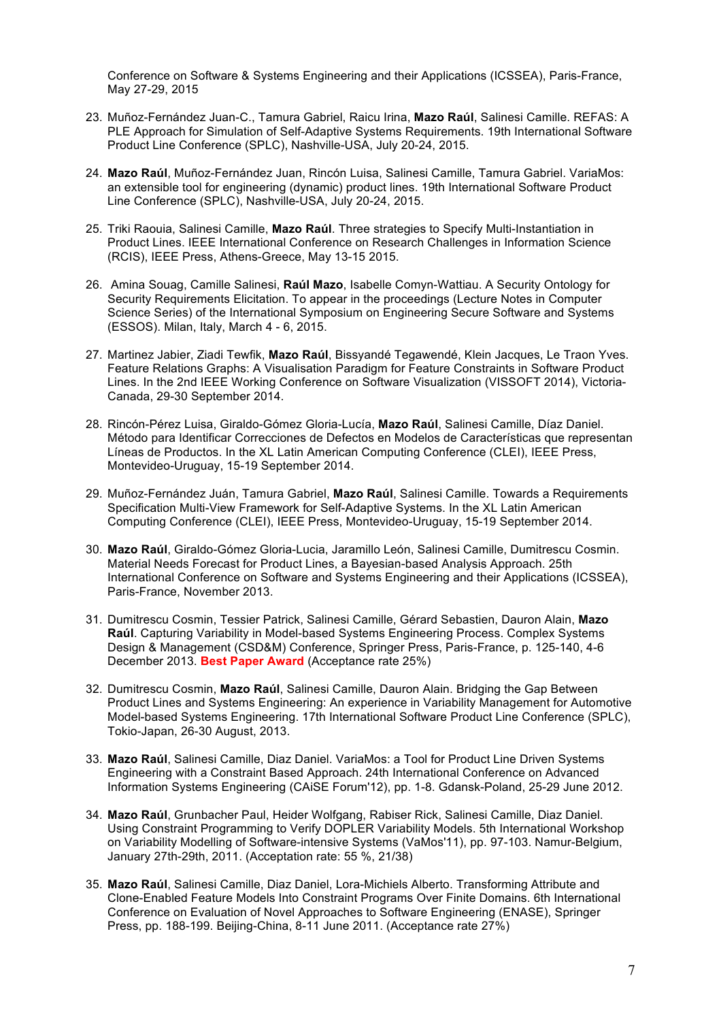Conference on Software & Systems Engineering and their Applications (ICSSEA), Paris-France, May 27-29, 2015

- 23. Muñoz-Fernández Juan-C., Tamura Gabriel, Raicu Irina, **Mazo Raúl**, Salinesi Camille. REFAS: A PLE Approach for Simulation of Self-Adaptive Systems Requirements. 19th International Software Product Line Conference (SPLC), Nashville-USA, July 20-24, 2015.
- 24. **Mazo Raúl**, Muñoz-Fernández Juan, Rincón Luisa, Salinesi Camille, Tamura Gabriel. VariaMos: an extensible tool for engineering (dynamic) product lines. 19th International Software Product Line Conference (SPLC), Nashville-USA, July 20-24, 2015.
- 25. Triki Raouia, Salinesi Camille, **Mazo Raúl**. Three strategies to Specify Multi-Instantiation in Product Lines. IEEE International Conference on Research Challenges in Information Science (RCIS), IEEE Press, Athens-Greece, May 13-15 2015.
- 26. Amina Souag, Camille Salinesi, **Raúl Mazo**, Isabelle Comyn-Wattiau. A Security Ontology for Security Requirements Elicitation. To appear in the proceedings (Lecture Notes in Computer Science Series) of the International Symposium on Engineering Secure Software and Systems (ESSOS). Milan, Italy, March 4 - 6, 2015.
- 27. Martinez Jabier, Ziadi Tewfik, **Mazo Raúl**, Bissyandé Tegawendé, Klein Jacques, Le Traon Yves. Feature Relations Graphs: A Visualisation Paradigm for Feature Constraints in Software Product Lines. In the 2nd IEEE Working Conference on Software Visualization (VISSOFT 2014), Victoria-Canada, 29-30 September 2014.
- 28. Rincón-Pérez Luisa, Giraldo-Gómez Gloria-Lucía, **Mazo Raúl**, Salinesi Camille, Díaz Daniel. Método para Identificar Correcciones de Defectos en Modelos de Características que representan Líneas de Productos. In the XL Latin American Computing Conference (CLEI), IEEE Press, Montevideo-Uruguay, 15-19 September 2014.
- 29. Muñoz-Fernández Juán, Tamura Gabriel, **Mazo Raúl**, Salinesi Camille. Towards a Requirements Specification Multi-View Framework for Self-Adaptive Systems. In the XL Latin American Computing Conference (CLEI), IEEE Press, Montevideo-Uruguay, 15-19 September 2014.
- 30. **Mazo Raúl**, Giraldo-Gómez Gloria-Lucia, Jaramillo León, Salinesi Camille, Dumitrescu Cosmin. Material Needs Forecast for Product Lines, a Bayesian-based Analysis Approach. 25th International Conference on Software and Systems Engineering and their Applications (ICSSEA), Paris-France, November 2013.
- 31. Dumitrescu Cosmin, Tessier Patrick, Salinesi Camille, Gérard Sebastien, Dauron Alain, **Mazo Raúl**. Capturing Variability in Model-based Systems Engineering Process. Complex Systems Design & Management (CSD&M) Conference, Springer Press, Paris-France, p. 125-140, 4-6 December 2013. **Best Paper Award** (Acceptance rate 25%)
- 32. Dumitrescu Cosmin, **Mazo Raúl**, Salinesi Camille, Dauron Alain. Bridging the Gap Between Product Lines and Systems Engineering: An experience in Variability Management for Automotive Model-based Systems Engineering. 17th International Software Product Line Conference (SPLC), Tokio-Japan, 26-30 August, 2013.
- 33. **Mazo Raúl**, Salinesi Camille, Diaz Daniel. VariaMos: a Tool for Product Line Driven Systems Engineering with a Constraint Based Approach. 24th International Conference on Advanced Information Systems Engineering (CAiSE Forum'12), pp. 1-8. Gdansk-Poland, 25-29 June 2012.
- 34. **Mazo Raúl**, Grunbacher Paul, Heider Wolfgang, Rabiser Rick, Salinesi Camille, Diaz Daniel. Using Constraint Programming to Verify DOPLER Variability Models. 5th International Workshop on Variability Modelling of Software-intensive Systems (VaMos'11), pp. 97-103. Namur-Belgium, January 27th-29th, 2011. (Acceptation rate: 55 %, 21/38)
- 35. **Mazo Raúl**, Salinesi Camille, Diaz Daniel, Lora-Michiels Alberto. Transforming Attribute and Clone-Enabled Feature Models Into Constraint Programs Over Finite Domains. 6th International Conference on Evaluation of Novel Approaches to Software Engineering (ENASE), Springer Press, pp. 188-199. Beijing-China, 8-11 June 2011. (Acceptance rate 27%)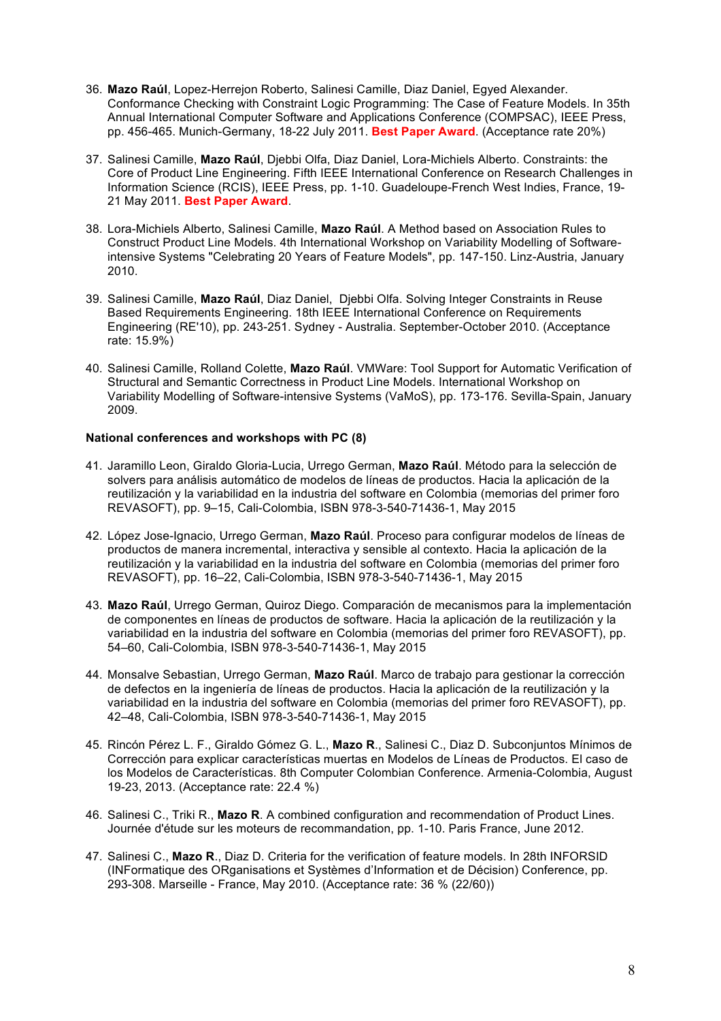- 36. **Mazo Raúl**, Lopez-Herrejon Roberto, Salinesi Camille, Diaz Daniel, Egyed Alexander. Conformance Checking with Constraint Logic Programming: The Case of Feature Models. In 35th Annual International Computer Software and Applications Conference (COMPSAC), IEEE Press, pp. 456-465. Munich-Germany, 18-22 July 2011. **Best Paper Award**. (Acceptance rate 20%)
- 37. Salinesi Camille, **Mazo Raúl**, Djebbi Olfa, Diaz Daniel, Lora-Michiels Alberto. Constraints: the Core of Product Line Engineering. Fifth IEEE International Conference on Research Challenges in Information Science (RCIS), IEEE Press, pp. 1-10. Guadeloupe-French West Indies, France, 19- 21 May 2011. **Best Paper Award**.
- 38. Lora-Michiels Alberto, Salinesi Camille, **Mazo Raúl**. A Method based on Association Rules to Construct Product Line Models. 4th International Workshop on Variability Modelling of Softwareintensive Systems "Celebrating 20 Years of Feature Models", pp. 147-150. Linz-Austria, January 2010.
- 39. Salinesi Camille, **Mazo Raúl**, Diaz Daniel, Djebbi Olfa. Solving Integer Constraints in Reuse Based Requirements Engineering. 18th IEEE International Conference on Requirements Engineering (RE'10), pp. 243-251. Sydney - Australia. September-October 2010. (Acceptance rate: 15.9%)
- 40. Salinesi Camille, Rolland Colette, **Mazo Raúl**. VMWare: Tool Support for Automatic Verification of Structural and Semantic Correctness in Product Line Models. International Workshop on Variability Modelling of Software-intensive Systems (VaMoS), pp. 173-176. Sevilla-Spain, January 2009.

#### **National conferences and workshops with PC (8)**

- 41. Jaramillo Leon, Giraldo Gloria-Lucia, Urrego German, **Mazo Raúl**. Método para la selección de solvers para análisis automático de modelos de líneas de productos. Hacia la aplicación de la reutilización y la variabilidad en la industria del software en Colombia (memorias del primer foro REVASOFT), pp. 9–15, Cali-Colombia, ISBN 978-3-540-71436-1, May 2015
- 42. López Jose-Ignacio, Urrego German, **Mazo Raúl**. Proceso para configurar modelos de líneas de productos de manera incremental, interactiva y sensible al contexto. Hacia la aplicación de la reutilización y la variabilidad en la industria del software en Colombia (memorias del primer foro REVASOFT), pp. 16–22, Cali-Colombia, ISBN 978-3-540-71436-1, May 2015
- 43. **Mazo Raúl**, Urrego German, Quiroz Diego. Comparación de mecanismos para la implementación de componentes en líneas de productos de software. Hacia la aplicación de la reutilización y la variabilidad en la industria del software en Colombia (memorias del primer foro REVASOFT), pp. 54–60, Cali-Colombia, ISBN 978-3-540-71436-1, May 2015
- 44. Monsalve Sebastian, Urrego German, **Mazo Raúl**. Marco de trabajo para gestionar la corrección de defectos en la ingeniería de líneas de productos. Hacia la aplicación de la reutilización y la variabilidad en la industria del software en Colombia (memorias del primer foro REVASOFT), pp. 42–48, Cali-Colombia, ISBN 978-3-540-71436-1, May 2015
- 45. Rincón Pérez L. F., Giraldo Gómez G. L., **Mazo R**., Salinesi C., Diaz D. Subconjuntos Mínimos de Corrección para explicar características muertas en Modelos de Líneas de Productos. El caso de los Modelos de Características. 8th Computer Colombian Conference. Armenia-Colombia, August 19-23, 2013. (Acceptance rate: 22.4 %)
- 46. Salinesi C., Triki R., **Mazo R**. A combined configuration and recommendation of Product Lines. Journée d'étude sur les moteurs de recommandation, pp. 1-10. Paris France, June 2012.
- 47. Salinesi C., **Mazo R**., Diaz D. Criteria for the verification of feature models. In 28th INFORSID (INFormatique des ORganisations et Systèmes d'Information et de Décision) Conference, pp. 293-308. Marseille - France, May 2010. (Acceptance rate: 36 % (22/60))